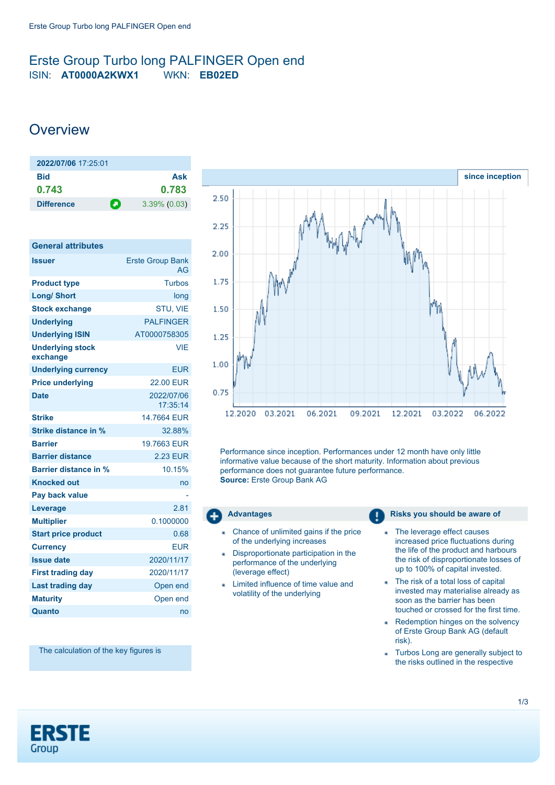## <span id="page-0-0"></span>Erste Group Turbo long PALFINGER Open end ISIN: **AT0000A2KWX1** WKN: **EB02ED**

# **Overview**

| 2022/07/06 17:25:01    |                 |
|------------------------|-----------------|
| <b>Bid</b>             | Ask             |
| 0.743                  | 0.783           |
| п<br><b>Difference</b> | $3.39\%$ (0.03) |

| <b>General attributes</b>           |                               |
|-------------------------------------|-------------------------------|
| <b>Issuer</b>                       | <b>Erste Group Bank</b><br>AG |
| <b>Product type</b>                 | <b>Turbos</b>                 |
| <b>Long/ Short</b>                  | long                          |
| <b>Stock exchange</b>               | STU, VIE                      |
| <b>Underlying</b>                   | <b>PAI FINGFR</b>             |
| <b>Underlying ISIN</b>              | AT0000758305                  |
| <b>Underlying stock</b><br>exchange | VIF                           |
| <b>Underlying currency</b>          | <b>EUR</b>                    |
| <b>Price underlying</b>             | 22.00 FUR                     |
| <b>Date</b>                         | 2022/07/06<br>17:35:14        |
| <b>Strike</b>                       | 14.7664 FUR                   |
| Strike distance in %                | 32.88%                        |
| <b>Barrier</b>                      | 19.7663 FUR                   |
| <b>Barrier distance</b>             | <b>2.23 EUR</b>               |
| Barrier distance in %               | 10.15%                        |
| <b>Knocked out</b>                  | no                            |
| Pay back value                      |                               |
| Leverage                            | 2.81                          |
| <b>Multiplier</b>                   | 0.1000000                     |
| <b>Start price product</b>          | 0.68                          |
| <b>Currency</b>                     | <b>EUR</b>                    |
| <b>Issue date</b>                   | 2020/11/17                    |
| <b>First trading day</b>            | 2020/11/17                    |
| <b>Last trading day</b>             | Open end                      |
| <b>Maturity</b>                     | Open end                      |
| Quanto                              | no                            |



Performance since inception. Performances under 12 month have only little informative value because of the short maturity. Information about previous performance does not guarantee future performance. **Source:** Erste Group Bank AG

- Chance of unlimited gains if the price of the underlying increases
- Disproportionate participation in the performance of the underlying (leverage effect)
- Limited influence of time value and volatility of the underlying

### **Advantages Risks** you should be aware of

- The leverage effect causes a, increased price fluctuations during the life of the product and harbours the risk of disproportionate losses of up to 100% of capital invested.
- The risk of a total loss of capital invested may materialise already as soon as the barrier has been touched or crossed for the first time.
- Redemption hinges on the solvency a. of Erste Group Bank AG (default risk).
- Turbos Long are generally subject to . the risks outlined in the respective

The calculation of the key figures is

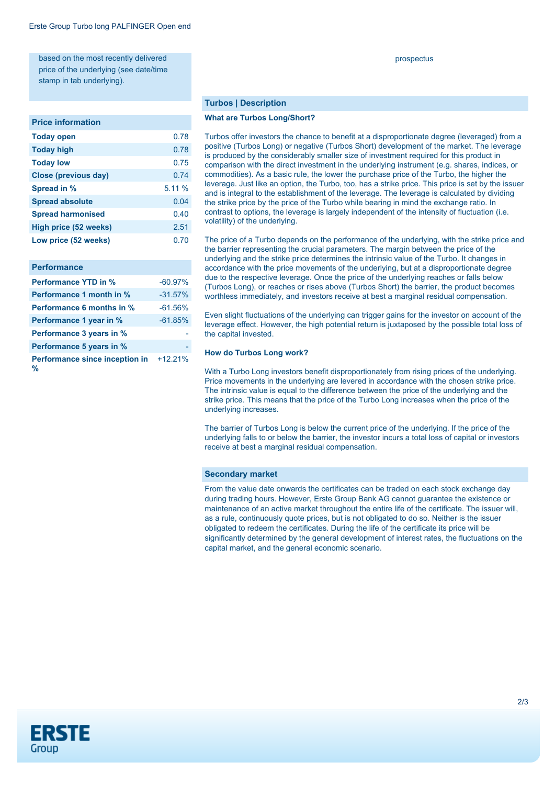based on the most recently delivered price of the underlying (see date/time stamp in tab underlying).

#### **Price information**

| 0.78   |
|--------|
| 0.78   |
| 0.75   |
| 0.74   |
| 5.11 % |
| 0.04   |
| 0.40   |
| 2.51   |
| 0.70   |
|        |

| <b>Performance</b>                  |           |
|-------------------------------------|-----------|
| <b>Performance YTD in %</b>         | $-60.97%$ |
| Performance 1 month in %            | $-31.57%$ |
| <b>Performance 6 months in %</b>    | $-61.56%$ |
| Performance 1 year in %             | $-61.85%$ |
| Performance 3 years in %            |           |
| Performance 5 years in %            |           |
| Performance since inception in<br>% | $+12.21%$ |

prospectus

#### **Turbos | Description**

#### **What are Turbos Long/Short?**

Turbos offer investors the chance to benefit at a disproportionate degree (leveraged) from a positive (Turbos Long) or negative (Turbos Short) development of the market. The leverage is produced by the considerably smaller size of investment required for this product in comparison with the direct investment in the underlying instrument (e.g. shares, indices, or commodities). As a basic rule, the lower the purchase price of the Turbo, the higher the leverage. Just like an option, the Turbo, too, has a strike price. This price is set by the issuer and is integral to the establishment of the leverage. The leverage is calculated by dividing the strike price by the price of the Turbo while bearing in mind the exchange ratio. In contrast to options, the leverage is largely independent of the intensity of fluctuation (i.e. volatility) of the underlying.

The price of a Turbo depends on the performance of the underlying, with the strike price and the barrier representing the crucial parameters. The margin between the price of the underlying and the strike price determines the intrinsic value of the Turbo. It changes in accordance with the price movements of the underlying, but at a disproportionate degree due to the respective leverage. Once the price of the underlying reaches or falls below (Turbos Long), or reaches or rises above (Turbos Short) the barrier, the product becomes worthless immediately, and investors receive at best a marginal residual compensation.

Even slight fluctuations of the underlying can trigger gains for the investor on account of the leverage effect. However, the high potential return is juxtaposed by the possible total loss of the capital invested.

#### **How do Turbos Long work?**

With a Turbo Long investors benefit disproportionately from rising prices of the underlying. Price movements in the underlying are levered in accordance with the chosen strike price. The intrinsic value is equal to the difference between the price of the underlying and the strike price. This means that the price of the Turbo Long increases when the price of the underlying increases.

The barrier of Turbos Long is below the current price of the underlying. If the price of the underlying falls to or below the barrier, the investor incurs a total loss of capital or investors receive at best a marginal residual compensation.

#### **Secondary market**

From the value date onwards the certificates can be traded on each stock exchange day during trading hours. However, Erste Group Bank AG cannot guarantee the existence or maintenance of an active market throughout the entire life of the certificate. The issuer will, as a rule, continuously quote prices, but is not obligated to do so. Neither is the issuer obligated to redeem the certificates. During the life of the certificate its price will be significantly determined by the general development of interest rates, the fluctuations on the capital market, and the general economic scenario.